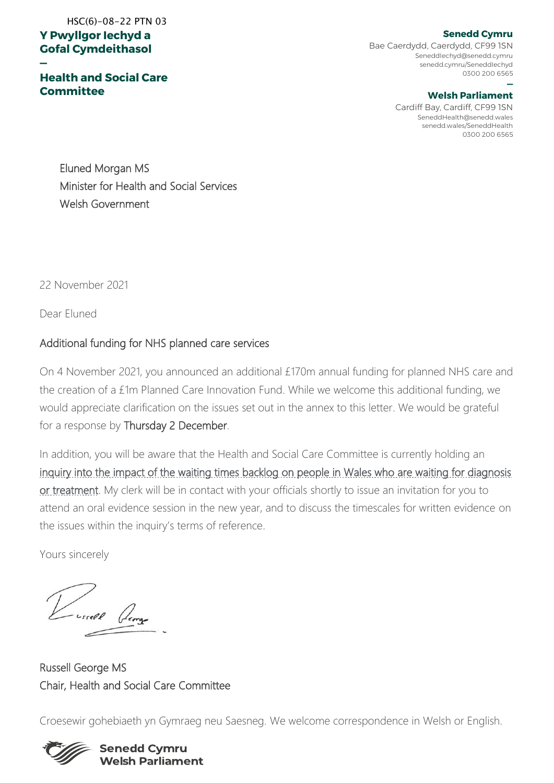# **Y Pwyllgor Iechyd a Gofal Cymdeithasol**  HSC(6)-08-22 PTN 03

**—**

**Health and Social Care Committee**

**Senedd Cymru** Bae Caerdydd, Caerdydd, CF99 1SN SeneddIechyd@senedd.cymru senedd.cymru/SeneddIechyd

#### **— Welsh Parliament**

0300 200 6565

Cardiff Bay, Cardiff, CF99 1SN SeneddHealth@senedd.wales senedd.wales/SeneddHealth 0300 200 6565

Eluned Morgan MS Minister for Health and Social Services Welsh Government

22 November 2021

Dear Eluned

### Additional funding for NHS planned care services

On 4 November 2021, you announced an additional £170m annual funding for planned NHS care and the creation of a £1m Planned Care Innovation Fund. While we welcome this additional funding, we would appreciate clarification on the issues set out in the annex to this letter. We would be grateful for a response by Thursday 2 December.

In addition, you will be aware that the Health and Social Care Committee is currently holding an [inquiry into the impact of the waiting times backlog on people in Wales who are waiting for diagnosis](https://business.senedd.wales/mgIssueHistoryHome.aspx?IId=38257)  [or treatment.](https://business.senedd.wales/mgIssueHistoryHome.aspx?IId=38257) My clerk will be in contact with your officials shortly to issue an invitation for you to attend an oral evidence session in the new year, and to discuss the timescales for written evidence on the issues within the inquiry's terms of reference.

Yours sincerely

- ussell George

Russell George MS Chair, Health and Social Care Committee

Croesewir gohebiaeth yn Gymraeg neu Saesneg. We welcome correspondence in Welsh or English.



#### **Senedd Cymru Welsh Parliament**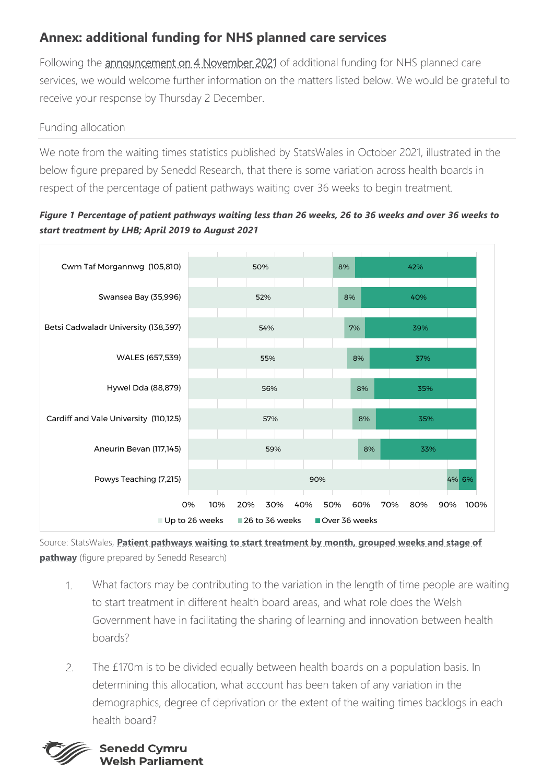# **Annex: additional funding for NHS planned care services**

Following the *announcement on 4 November 2021* of additional funding for NHS planned care services, we would welcome further information on the matters listed below. We would be grateful to receive your response by Thursday 2 December.

# Funding allocation

We note from the waiting times statistics published by StatsWales in October 2021, illustrated in the below figure prepared by Senedd Research, that there is some variation across health boards in respect of the percentage of patient pathways waiting over 36 weeks to begin treatment.

## *Figure 1 Percentage of patient pathways waiting less than 26 weeks, 26 to 36 weeks and over 36 weeks to start treatment by LHB; April 2019 to August 2021*



Source: StatsWales, **[Patient pathways waiting to start treatment by month, grouped weeks and stage of](https://statswales.gov.wales/Catalogue/Health-and-Social-Care/NHS-Hospital-Waiting-Times/Referral-to-Treatment/patientpathwayswaitingtostarttreatment-by-month-groupedweeks)  [pathway](https://statswales.gov.wales/Catalogue/Health-and-Social-Care/NHS-Hospital-Waiting-Times/Referral-to-Treatment/patientpathwayswaitingtostarttreatment-by-month-groupedweeks)** (figure prepared by Senedd Research)

- $1$ What factors may be contributing to the variation in the length of time people are waiting to start treatment in different health board areas, and what role does the Welsh Government have in facilitating the sharing of learning and innovation between health boards?
- $\overline{2}$ The £170m is to be divided equally between health boards on a population basis. In determining this allocation, what account has been taken of any variation in the demographics, degree of deprivation or the extent of the waiting times backlogs in each health board?